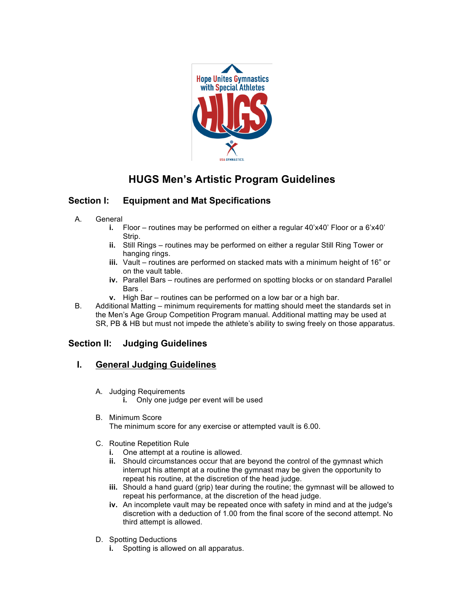

# **HUGS Men's Artistic Program Guidelines**

# **Section I: Equipment and Mat Specifications**

- A. General
	- **i.** Floor routines may be performed on either a regular 40'x40' Floor or a 6'x40' Strip.
	- **ii.** Still Rings routines may be performed on either a regular Still Ring Tower or hanging rings.
	- **iii.** Vault routines are performed on stacked mats with a minimum height of 16" or on the vault table.
	- **iv.** Parallel Bars routines are performed on spotting blocks or on standard Parallel Bars .
	- **v.** High Bar routines can be performed on a low bar or a high bar.
- B. Additional Matting minimum requirements for matting should meet the standards set in the Men's Age Group Competition Program manual. Additional matting may be used at SR, PB & HB but must not impede the athlete's ability to swing freely on those apparatus.

# **Section II: Judging Guidelines**

# **I. General Judging Guidelines**

- A. Judging Requirements
	- **i.** Only one judge per event will be used
- B. Minimum Score

The minimum score for any exercise or attempted vault is 6.00.

- C. Routine Repetition Rule
	- **i.** One attempt at a routine is allowed.
	- **ii.** Should circumstances occur that are beyond the control of the gymnast which interrupt his attempt at a routine the gymnast may be given the opportunity to repeat his routine, at the discretion of the head judge.
	- **iii.** Should a hand guard (grip) tear during the routine; the gymnast will be allowed to repeat his performance, at the discretion of the head judge.
	- **iv.** An incomplete vault may be repeated once with safety in mind and at the judge's discretion with a deduction of 1.00 from the final score of the second attempt. No third attempt is allowed.
- D. Spotting Deductions
	- **i.** Spotting is allowed on all apparatus.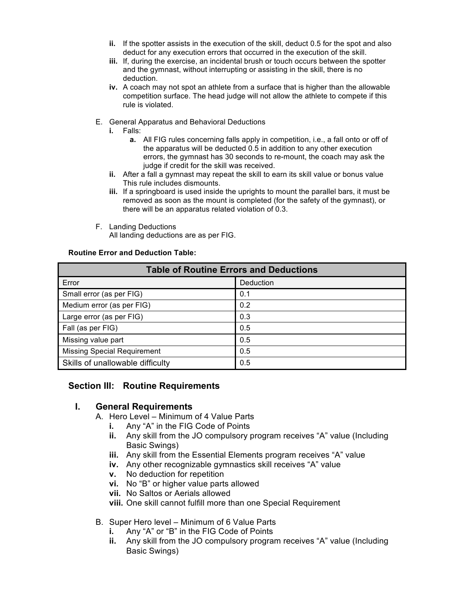- **ii.** If the spotter assists in the execution of the skill, deduct 0.5 for the spot and also deduct for any execution errors that occurred in the execution of the skill.
- **iii.** If, during the exercise, an incidental brush or touch occurs between the spotter and the gymnast, without interrupting or assisting in the skill, there is no deduction.
- **iv.** A coach may not spot an athlete from a surface that is higher than the allowable competition surface. The head judge will not allow the athlete to compete if this rule is violated.
- E. General Apparatus and Behavioral Deductions
	- **i.** Falls:
		- **a.** All FIG rules concerning falls apply in competition, i.e., a fall onto or off of the apparatus will be deducted 0.5 in addition to any other execution errors, the gymnast has 30 seconds to re-mount, the coach may ask the judge if credit for the skill was received.
	- **ii.** After a fall a gymnast may repeat the skill to earn its skill value or bonus value This rule includes dismounts.
	- **iii.** If a springboard is used inside the uprights to mount the parallel bars, it must be removed as soon as the mount is completed (for the safety of the gymnast), or there will be an apparatus related violation of 0.3.
- F. Landing Deductions All landing deductions are as per FIG.

#### **Routine Error and Deduction Table:**

| <b>Table of Routine Errors and Deductions</b> |           |  |
|-----------------------------------------------|-----------|--|
| Error                                         | Deduction |  |
| Small error (as per FIG)                      | 0.1       |  |
| Medium error (as per FIG)                     | 0.2       |  |
| Large error (as per FIG)                      | 0.3       |  |
| Fall (as per FIG)                             | 0.5       |  |
| Missing value part                            | 0.5       |  |
| <b>Missing Special Requirement</b>            | 0.5       |  |
| Skills of unallowable difficulty              | 0.5       |  |

### **Section III: Routine Requirements**

### **I. General Requirements**

- A. Hero Level Minimum of 4 Value Parts
	- **i.** Any "A" in the FIG Code of Points
	- **ii.** Any skill from the JO compulsory program receives "A" value (Including Basic Swings)
	- **iii.** Any skill from the Essential Elements program receives "A" value
	- **iv.** Any other recognizable gymnastics skill receives "A" value
	- **v.** No deduction for repetition
	- **vi.** No "B" or higher value parts allowed
	- **vii.** No Saltos or Aerials allowed
	- **viii.** One skill cannot fulfill more than one Special Requirement
- B. Super Hero level Minimum of 6 Value Parts
	- **i.** Any "A" or "B" in the FIG Code of Points
	- **ii.** Any skill from the JO compulsory program receives "A" value (Including Basic Swings)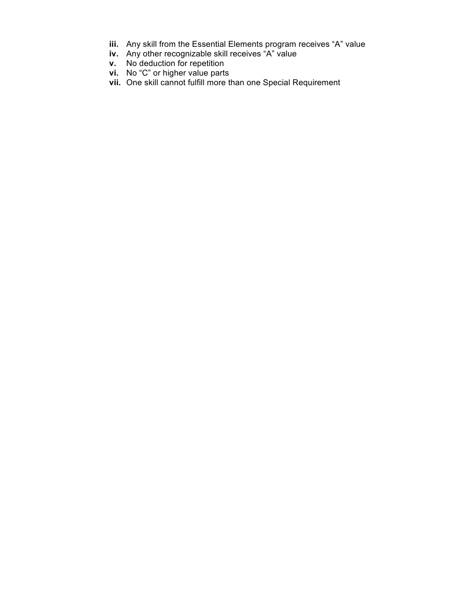- **iii.** Any skill from the Essential Elements program receives "A" value
- **iv.** Any other recognizable skill receives "A" value
- **v.** No deduction for repetition
- **vi.** No "C" or higher value parts
- **vii.** One skill cannot fulfill more than one Special Requirement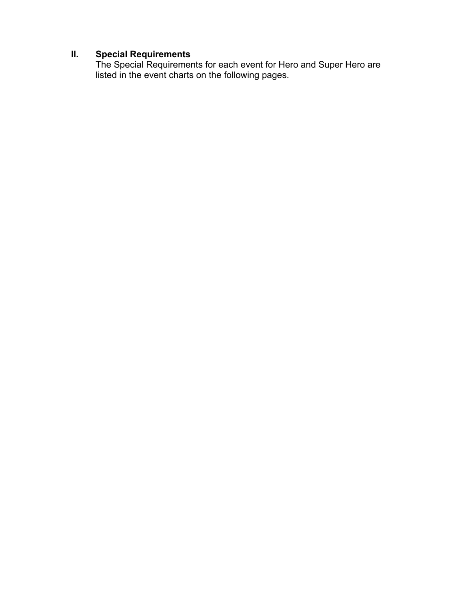### **II. Special Requirements**

The Special Requirements for each event for Hero and Super Hero are listed in the event charts on the following pages.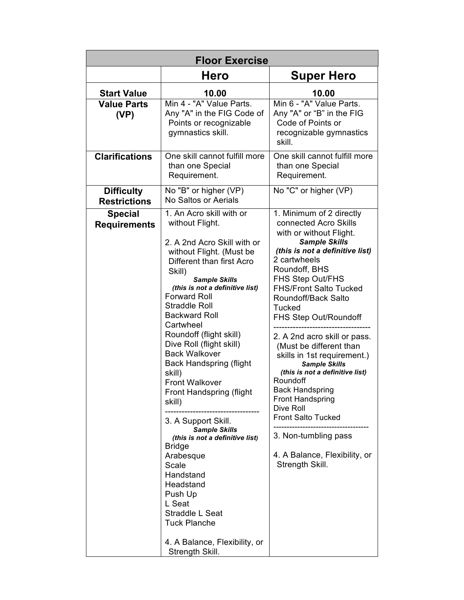| <b>Floor Exercise</b>                    |                                                                                                                                                                                                                                                                                                                                                                                                                                                                                                                                                                                                                                                                                                                                                              |                                                                                                                                                                                                                                                                                                                                                                                                                                                                                                                                                                                                                                            |
|------------------------------------------|--------------------------------------------------------------------------------------------------------------------------------------------------------------------------------------------------------------------------------------------------------------------------------------------------------------------------------------------------------------------------------------------------------------------------------------------------------------------------------------------------------------------------------------------------------------------------------------------------------------------------------------------------------------------------------------------------------------------------------------------------------------|--------------------------------------------------------------------------------------------------------------------------------------------------------------------------------------------------------------------------------------------------------------------------------------------------------------------------------------------------------------------------------------------------------------------------------------------------------------------------------------------------------------------------------------------------------------------------------------------------------------------------------------------|
|                                          | <b>Hero</b>                                                                                                                                                                                                                                                                                                                                                                                                                                                                                                                                                                                                                                                                                                                                                  | <b>Super Hero</b>                                                                                                                                                                                                                                                                                                                                                                                                                                                                                                                                                                                                                          |
| <b>Start Value</b>                       | 10.00                                                                                                                                                                                                                                                                                                                                                                                                                                                                                                                                                                                                                                                                                                                                                        | 10.00                                                                                                                                                                                                                                                                                                                                                                                                                                                                                                                                                                                                                                      |
| <b>Value Parts</b><br>(VP)               | Min 4 - "A" Value Parts.<br>Any "A" in the FIG Code of<br>Points or recognizable<br>gymnastics skill.                                                                                                                                                                                                                                                                                                                                                                                                                                                                                                                                                                                                                                                        | Min 6 - "A" Value Parts.<br>Any "A" or "B" in the FIG<br>Code of Points or<br>recognizable gymnastics<br>skill.                                                                                                                                                                                                                                                                                                                                                                                                                                                                                                                            |
| <b>Clarifications</b>                    | One skill cannot fulfill more<br>than one Special<br>Requirement.                                                                                                                                                                                                                                                                                                                                                                                                                                                                                                                                                                                                                                                                                            | One skill cannot fulfill more<br>than one Special<br>Requirement.                                                                                                                                                                                                                                                                                                                                                                                                                                                                                                                                                                          |
| <b>Difficulty</b><br><b>Restrictions</b> | No "B" or higher (VP)<br><b>No Saltos or Aerials</b>                                                                                                                                                                                                                                                                                                                                                                                                                                                                                                                                                                                                                                                                                                         | No "C" or higher (VP)                                                                                                                                                                                                                                                                                                                                                                                                                                                                                                                                                                                                                      |
| <b>Special</b><br><b>Requirements</b>    | 1. An Acro skill with or<br>without Flight.<br>2. A 2nd Acro Skill with or<br>without Flight. (Must be<br>Different than first Acro<br>Skill)<br><b>Sample Skills</b><br>(this is not a definitive list)<br><b>Forward Roll</b><br><b>Straddle Roll</b><br><b>Backward Roll</b><br>Cartwheel<br>Roundoff (flight skill)<br>Dive Roll (flight skill)<br><b>Back Walkover</b><br><b>Back Handspring (flight</b><br>skill)<br><b>Front Walkover</b><br>Front Handspring (flight<br>skill)<br>3. A Support Skill.<br><b>Sample Skills</b><br>(this is not a definitive list)<br><b>Bridge</b><br>Arabesque<br>Scale<br>Handstand<br>Headstand<br>Push Up<br>L Seat<br>Straddle L Seat<br><b>Tuck Planche</b><br>4. A Balance, Flexibility, or<br>Strength Skill. | 1. Minimum of 2 directly<br>connected Acro Skills<br>with or without Flight.<br><b>Sample Skills</b><br>(this is not a definitive list)<br>2 cartwheels<br>Roundoff, BHS<br>FHS Step Out/FHS<br><b>FHS/Front Salto Tucked</b><br>Roundoff/Back Salto<br><b>Tucked</b><br>FHS Step Out/Roundoff<br>2. A 2nd acro skill or pass.<br>(Must be different than<br>skills in 1st requirement.)<br><b>Sample Skills</b><br>(this is not a definitive list)<br>Roundoff<br><b>Back Handspring</b><br><b>Front Handspring</b><br>Dive Roll<br><b>Front Salto Tucked</b><br>3. Non-tumbling pass<br>4. A Balance, Flexibility, or<br>Strength Skill. |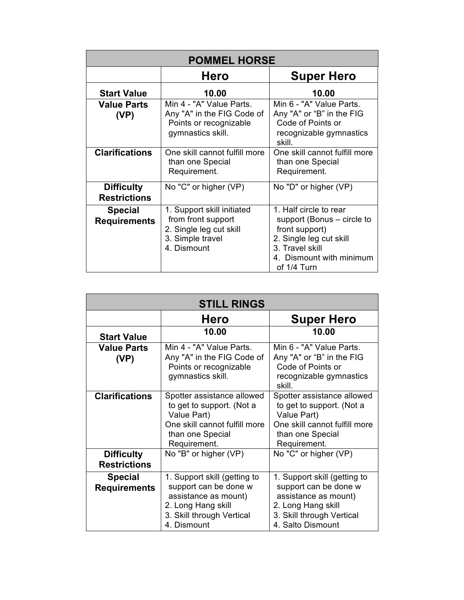| <b>POMMEL HORSE</b>                      |                                                                                                                |                                                                                                                                                                 |
|------------------------------------------|----------------------------------------------------------------------------------------------------------------|-----------------------------------------------------------------------------------------------------------------------------------------------------------------|
|                                          | <b>Hero</b>                                                                                                    | <b>Super Hero</b>                                                                                                                                               |
| <b>Start Value</b>                       | 10.00                                                                                                          | 10.00                                                                                                                                                           |
| <b>Value Parts</b><br>(VP)               | Min 4 - "A" Value Parts.<br>Any "A" in the FIG Code of<br>Points or recognizable<br>gymnastics skill.          | Min 6 - "A" Value Parts.<br>Any "A" or "B" in the FIG<br>Code of Points or<br>recognizable gymnastics<br>skill.                                                 |
| <b>Clarifications</b>                    | One skill cannot fulfill more<br>than one Special<br>Requirement.                                              | One skill cannot fulfill more<br>than one Special<br>Requirement.                                                                                               |
| <b>Difficulty</b><br><b>Restrictions</b> | No "C" or higher (VP)                                                                                          | No "D" or higher (VP)                                                                                                                                           |
| <b>Special</b><br><b>Requirements</b>    | 1. Support skill initiated<br>from front support<br>2. Single leg cut skill<br>3. Simple travel<br>4. Dismount | 1. Half circle to rear<br>support (Bonus – circle to<br>front support)<br>2. Single leg cut skill<br>3. Travel skill<br>4. Dismount with minimum<br>of 1/4 Turn |

| <b>STILL RINGS</b>                       |                                                                                                                                                 |                                                                                                                                                       |
|------------------------------------------|-------------------------------------------------------------------------------------------------------------------------------------------------|-------------------------------------------------------------------------------------------------------------------------------------------------------|
|                                          | Hero                                                                                                                                            | <b>Super Hero</b>                                                                                                                                     |
| <b>Start Value</b>                       | 10.00                                                                                                                                           | 10.00                                                                                                                                                 |
| <b>Value Parts</b><br>(VP)               | Min 4 - "A" Value Parts.<br>Any "A" in the FIG Code of<br>Points or recognizable<br>gymnastics skill.                                           | Min 6 - "A" Value Parts.<br>Any "A" or "B" in the FIG<br>Code of Points or<br>recognizable gymnastics<br>skill.                                       |
| <b>Clarifications</b>                    | Spotter assistance allowed<br>to get to support. (Not a<br>Value Part)<br>One skill cannot fulfill more<br>than one Special<br>Requirement.     | Spotter assistance allowed<br>to get to support. (Not a<br>Value Part)<br>One skill cannot fulfill more<br>than one Special<br>Requirement.           |
| <b>Difficulty</b><br><b>Restrictions</b> | No "B" or higher (VP)                                                                                                                           | No "C" or higher (VP)                                                                                                                                 |
| <b>Special</b><br><b>Requirements</b>    | 1. Support skill (getting to<br>support can be done w<br>assistance as mount)<br>2. Long Hang skill<br>3. Skill through Vertical<br>4. Dismount | 1. Support skill (getting to<br>support can be done w<br>assistance as mount)<br>2. Long Hang skill<br>3. Skill through Vertical<br>4. Salto Dismount |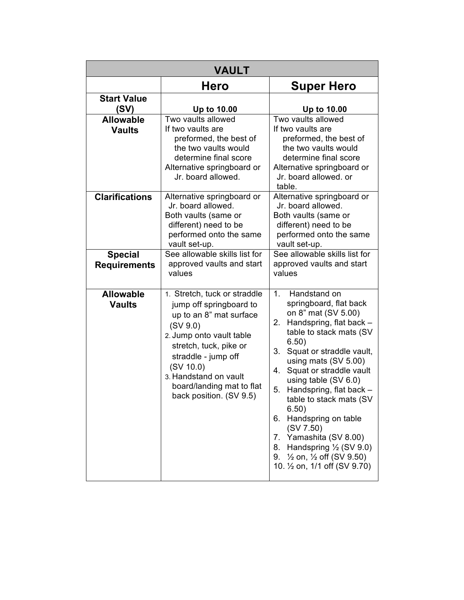| <b>VAULT</b>                          |                                                                                                                                                                                                                                                                           |                                                                                                                                                                                                                                                                                                                                                                                                                                                                                                                                                      |
|---------------------------------------|---------------------------------------------------------------------------------------------------------------------------------------------------------------------------------------------------------------------------------------------------------------------------|------------------------------------------------------------------------------------------------------------------------------------------------------------------------------------------------------------------------------------------------------------------------------------------------------------------------------------------------------------------------------------------------------------------------------------------------------------------------------------------------------------------------------------------------------|
|                                       | Hero                                                                                                                                                                                                                                                                      | <b>Super Hero</b>                                                                                                                                                                                                                                                                                                                                                                                                                                                                                                                                    |
| <b>Start Value</b><br>(SV)            | Up to 10.00                                                                                                                                                                                                                                                               | Up to 10.00                                                                                                                                                                                                                                                                                                                                                                                                                                                                                                                                          |
| <b>Allowable</b><br><b>Vaults</b>     | Two vaults allowed<br>If two vaults are<br>preformed, the best of<br>the two vaults would<br>determine final score<br>Alternative springboard or<br>Jr. board allowed.                                                                                                    | Two vaults allowed<br>If two vaults are<br>preformed, the best of<br>the two vaults would<br>determine final score<br>Alternative springboard or<br>Jr. board allowed. or<br>table.                                                                                                                                                                                                                                                                                                                                                                  |
| <b>Clarifications</b>                 | Alternative springboard or<br>Jr. board allowed.<br>Both vaults (same or<br>different) need to be<br>performed onto the same<br>vault set-up.                                                                                                                             | Alternative springboard or<br>Jr. board allowed.<br>Both vaults (same or<br>different) need to be<br>performed onto the same<br>vault set-up.                                                                                                                                                                                                                                                                                                                                                                                                        |
| <b>Special</b><br><b>Requirements</b> | See allowable skills list for<br>approved vaults and start<br>values                                                                                                                                                                                                      | See allowable skills list for<br>approved vaults and start<br>values                                                                                                                                                                                                                                                                                                                                                                                                                                                                                 |
| <b>Allowable</b><br><b>Vaults</b>     | 1. Stretch, tuck or straddle<br>jump off springboard to<br>up to an 8" mat surface<br>(SV 9.0)<br>2. Jump onto vault table<br>stretch, tuck, pike or<br>straddle - jump off<br>(SV 10.0)<br>3. Handstand on vault<br>board/landing mat to flat<br>back position. (SV 9.5) | 1 <sub>1</sub><br>Handstand on<br>springboard, flat back<br>on 8" mat (SV 5.00)<br>Handspring, flat back -<br>2.<br>table to stack mats (SV)<br>6.50)<br>Squat or straddle vault,<br>3.<br>using mats (SV 5.00)<br>Squat or straddle vault<br>4.<br>using table (SV 6.0)<br>5.<br>Handspring, flat back -<br>table to stack mats (SV<br>6.50)<br>Handspring on table<br>6.<br>(SV 7.50)<br>7. Yamashita (SV 8.00)<br>Handspring $\frac{1}{2}$ (SV 9.0)<br>8.<br>$\frac{1}{2}$ on, $\frac{1}{2}$ off (SV 9.50)<br>9.<br>10. 1/2 on, 1/1 off (SV 9.70) |